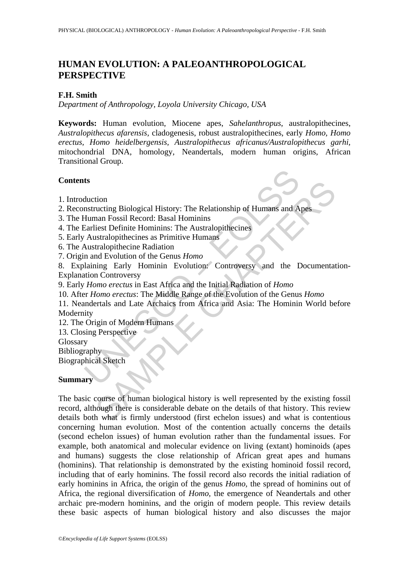# **HUMAN EVOLUTION: A PALEOANTHROPOLOGICAL PERSPECTIVE**

# **F.H. Smith**

*Department of Anthropology, Loyola University Chicago, USA* 

**Keywords:** Human evolution, Miocene apes, *Sahelanthropus*, australopithecines, *Australopithecus afarensis,* cladogenesis, robust australopithecines, early *Homo, Homo erectus, Homo heidelbergensis, Australopithecus africanus/Australopithecus garhi,*  mitochondrial DNA, homology, Neandertals, modern human origins, African Transitional Group.

### **Contents**

- 1. Introduction
- 2. Reconstructing Biological History: The Relationship of Humans and Apes
- 3. The Human Fossil Record: Basal Hominins
- 4. The Earliest Definite Hominins: The Australopithecines
- 5. Early Australopithecines as Primitive Humans
- 6. The Australopithecine Radiation
- 7. Origin and Evolution of the Genus *Homo*

8. Explaining Early Hominin Evolution: Controversy and the Documentation-Explanation Controversy

- 9. Early *Homo erectus* in East Africa and the Initial Radiation of *Homo*
- 10. After *Homo erectus*: The Middle Range of the Evolution of the Genus *Homo*
- ts<br>
duction<br>
mstructing Biological History: The Relationship of Humans and A<br>
Human Fossil Record: Basal Hominins<br>
carliest Definite Hominins: The Australopithecines<br>
Australopithecine Radiation<br>
m and Evolution of the Gen 11. Neandertals and Late Archaics from Africa and Asia: The Hominin World before Modernity
- 12. The Origin of Modern Humans
- 13. Closing Perspective
- **Glossary**

**Bibliography** 

Biographical Sketch

### **Summary**

Transmitter and Solonial History: The Relationship of Humans and Apes<br>
man Fossil Record: Basal Hominins<br>
liest Definite Hominins: The Australopithecines<br>
stralopithecines as Primitive Humans<br>
tralopithecine Radiation<br>
mig The basic course of human biological history is well represented by the existing fossil record, although there is considerable debate on the details of that history. This review details both what is firmly understood (first echelon issues) and what is contentious concerning human evolution. Most of the contention actually concerns the details (second echelon issues) of human evolution rather than the fundamental issues. For example, both anatomical and molecular evidence on living (extant) hominoids (apes and humans) suggests the close relationship of African great apes and humans (hominins). That relationship is demonstrated by the existing hominoid fossil record, including that of early hominins. The fossil record also records the initial radiation of early hominins in Africa, the origin of the genus *Homo,* the spread of hominins out of Africa, the regional diversification of *Homo,* the emergence of Neandertals and other archaic pre-modern hominins, and the origin of modern people. This review details these basic aspects of human biological history and also discusses the major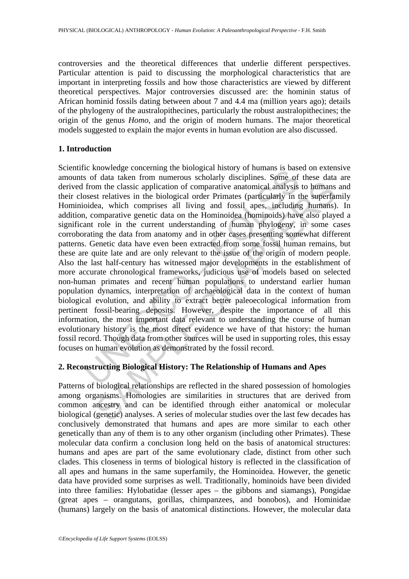controversies and the theoretical differences that underlie different perspectives. Particular attention is paid to discussing the morphological characteristics that are important in interpreting fossils and how those characteristics are viewed by different theoretical perspectives. Major controversies discussed are: the hominin status of African hominid fossils dating between about 7 and 4.4 ma (million years ago); details of the phylogeny of the australopithecines, particularly the robust australopithecines; the origin of the genus *Homo*, and the origin of modern humans. The major theoretical models suggested to explain the major events in human evolution are also discussed.

### **1. Introduction**

Example through through through through through through through through through through through through through through through through through through through through through through through through through through throug Im the classic application of comparative anatomical analysis to bumans<br>st relatives in the biological order Primates (particularly in the superfan<br>ea, which comprises all living and fossil apps, including humans)<br>comparat Scientific knowledge concerning the biological history of humans is based on extensive amounts of data taken from numerous scholarly disciplines. Some of these data are derived from the classic application of comparative anatomical analysis to humans and their closest relatives in the biological order Primates (particularly in the superfamily Hominioidea, which comprises all living and fossil apes, including humans). In addition, comparative genetic data on the Hominoidea (hominoids) have also played a significant role in the current understanding of human phylogeny, in some cases corroborating the data from anatomy and in other cases presenting somewhat different patterns. Genetic data have even been extracted from some fossil human remains, but these are quite late and are only relevant to the issue of the origin of modern people. Also the last half-century has witnessed major developments in the establishment of more accurate chronological frameworks, judicious use of models based on selected non-human primates and recent human populations to understand earlier human population dynamics, interpretation of archaeological data in the context of human biological evolution, and ability to extract better paleoecological information from pertinent fossil-bearing deposits. However, despite the importance of all this information, the most important data relevant to understanding the course of human evolutionary history is the most direct evidence we have of that history: the human fossil record. Though data from other sources will be used in supporting roles, this essay focuses on human evolution as demonstrated by the fossil record.

### **2. Reconstructing Biological History: The Relationship of Humans and Apes**

Patterns of biological relationships are reflected in the shared possession of homologies among organisms. Homologies are similarities in structures that are derived from common ancestry and can be identified through either anatomical or molecular biological (genetic) analyses. A series of molecular studies over the last few decades has conclusively demonstrated that humans and apes are more similar to each other genetically than any of them is to any other organism (including other Primates). These molecular data confirm a conclusion long held on the basis of anatomical structures: humans and apes are part of the same evolutionary clade, distinct from other such clades. This closeness in terms of biological history is reflected in the classification of all apes and humans in the same superfamily, the Hominoidea. However, the genetic data have provided some surprises as well. Traditionally, hominoids have been divided into three families: Hylobatidae (lesser apes – the gibbons and siamangs), Pongidae (great apes – orangutans, gorillas, chimpanzees, and bonobos), and Hominidae (humans) largely on the basis of anatomical distinctions. However, the molecular data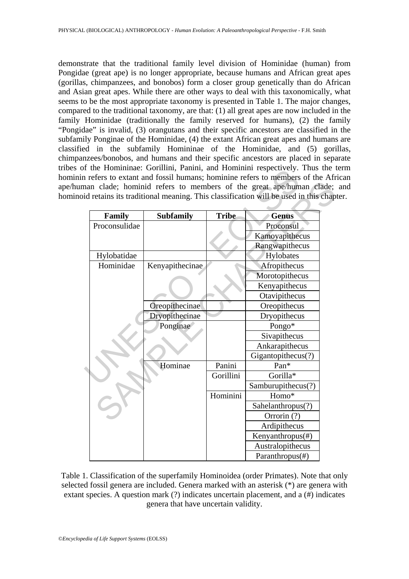demonstrate that the traditional family level division of Hominidae (human) from Pongidae (great ape) is no longer appropriate, because humans and African great apes (gorillas, chimpanzees, and bonobos) form a closer group genetically than do African and Asian great apes. While there are other ways to deal with this taxonomically, what seems to be the most appropriate taxonomy is presented in Table 1. The major changes, compared to the traditional taxonomy, are that: (1) all great apes are now included in the family Hominidae (traditionally the family reserved for humans), (2) the family "Pongidae" is invalid, (3) orangutans and their specific ancestors are classified in the subfamily Ponginae of the Hominidae, (4) the extant African great apes and humans are classified in the subfamily Homininae of the Hominidae, and (5) gorillas, chimpanzees/bonobos, and humans and their specific ancestors are placed in separate tribes of the Homininae: Gorillini, Panini, and Hominini respectively. Thus the term hominin refers to extant and fossil humans; hominine refers to members of the African ape/human clade; hominid refers to members of the great ape/human clade; and hominoid retains its traditional meaning. This classification will be used in this chapter.

| Family        | <b>Subfamily</b> | <b>Tribe</b> | <b>Genus</b>       |
|---------------|------------------|--------------|--------------------|
| Proconsulidae |                  |              | Proconsul          |
|               |                  |              | Kamoyapithecus     |
|               |                  |              | Rangwapithecus     |
| Hylobatidae   |                  |              | Hylobates          |
| Hominidae     | Kenyapithecinae  |              | Afropithecus       |
|               |                  |              | Morotopithecus     |
|               |                  |              | Kenyapithecus      |
|               |                  |              | Otavipithecus      |
|               | Oreopithecinae   |              | Oreopithecus       |
|               | Dryopithecinae   |              | Dryopithecus       |
|               | Ponginae         |              | Pongo*             |
|               |                  |              | Sivapithecus       |
|               |                  |              | Ankarapithecus     |
|               |                  |              | Gigantopithecus(?) |
|               | Hominae          | Panini       | Pan*               |
|               |                  | Gorillini    | Gorilla*           |
|               |                  |              | Samburupithecus(?) |
|               |                  | Hominini     | Homo*              |
|               |                  |              | Sahelanthropus(?)  |
|               |                  |              | Orrorin (?)        |
|               |                  |              | Ardipithecus       |
|               |                  |              | Kenyanthropus(#)   |
|               |                  |              | Australopithecus   |
|               |                  |              | Paranthropus(#)    |

Table 1. Classification of the superfamily Hominoidea (order Primates). Note that only selected fossil genera are included. Genera marked with an asterisk (\*) are genera with extant species. A question mark (?) indicates uncertain placement, and a (#) indicates genera that have uncertain validity.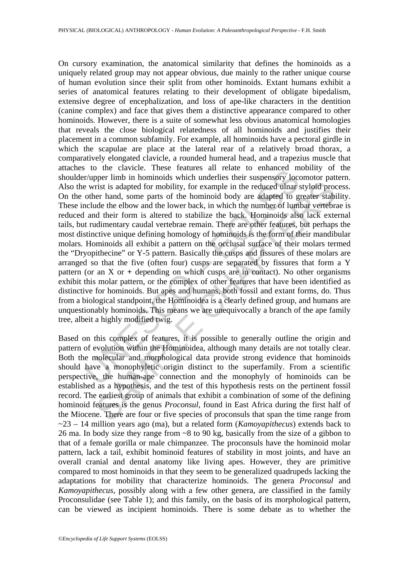To the cancular members. These readures and retate to emalated im<br>trapet limb in hominoids which underlies their suspensory loce wrist is adapted for mobility, for example in the reduced ulnar softer hand, some parts of t Fitst is adapted for mobility, for example in the reduced ulnar styloid procer hand, some parts of the hominoid body are adapted to greater stability and the elbow and the lower back, in which the number of lumbar vertebra On cursory examination, the anatomical similarity that defines the hominoids as a uniquely related group may not appear obvious, due mainly to the rather unique course of human evolution since their split from other hominoids. Extant humans exhibit a series of anatomical features relating to their development of obligate bipedalism, extensive degree of encephalization, and loss of ape-like characters in the dentition (canine complex) and face that gives them a distinctive appearance compared to other hominoids. However, there is a suite of somewhat less obvious anatomical homologies that reveals the close biological relatedness of all hominoids and justifies their placement in a common subfamily. For example, all hominoids have a pectoral girdle in which the scapulae are place at the lateral rear of a relatively broad thorax, a comparatively elongated clavicle, a rounded humeral head, and a trapezius muscle that attaches to the clavicle. These features all relate to enhanced mobility of the shoulder/upper limb in hominoids which underlies their suspensory locomotor pattern. Also the wrist is adapted for mobility, for example in the reduced ulnar styloid process. On the other hand, some parts of the hominoid body are adapted to greater stability. These include the elbow and the lower back, in which the number of lumbar vertebrae is reduced and their form is altered to stabilize the back. Hominoids also lack external tails, but rudimentary caudal vertebrae remain. There are other features, but perhaps the most distinctive unique defining homology of hominoids is the form of their mandibular molars. Hominoids all exhibit a pattern on the occlusal surface of their molars termed the "Dryopithecine" or Y-5 pattern. Basically the cusps and fissures of these molars are arranged so that the five (often four) cusps are separated by fissures that form a Y pattern (or an X or **+** depending on which cusps are in contact). No other organisms exhibit this molar pattern, or the complex of other features that have been identified as distinctive for hominoids. But apes and humans, both fossil and extant forms, do. Thus from a biological standpoint, the Hominoidea is a clearly defined group, and humans are unquestionably hominoids. This means we are unequivocally a branch of the ape family tree, albeit a highly modified twig.

Based on this complex of features, it is possible to generally outline the origin and pattern of evolution within the Hominoidea, although many details are not totally clear. Both the molecular and morphological data provide strong evidence that hominoids should have a monophyletic origin distinct to the superfamily. From a scientific perspective, the human-ape connection and the monophyly of hominoids can be established as a hypothesis, and the test of this hypothesis rests on the pertinent fossil record. The earliest group of animals that exhibit a combination of some of the defining hominoid features is the genus *Proconsul*, found in East Africa during the first half of the Miocene. There are four or five species of proconsuls that span the time range from ~23 – 14 million years ago (ma), but a related form (*Kamoyapithecus*) extends back to 26 ma. In body size they range from ~8 to 90 kg, basically from the size of a gibbon to that of a female gorilla or male chimpanzee. The proconsuls have the hominoid molar pattern, lack a tail, exhibit hominoid features of stability in most joints, and have an overall cranial and dental anatomy like living apes. However, they are primitive compared to most hominoids in that they seem to be generalized quadrupeds lacking the adaptations for mobility that characterize hominoids. The genera *Proconsul* and *Kamoyapithecus*, possibly along with a few other genera, are classified in the family Proconsulidae (see Table 1); and this family, on the basis of its morphological pattern, can be viewed as incipient hominoids. There is some debate as to whether the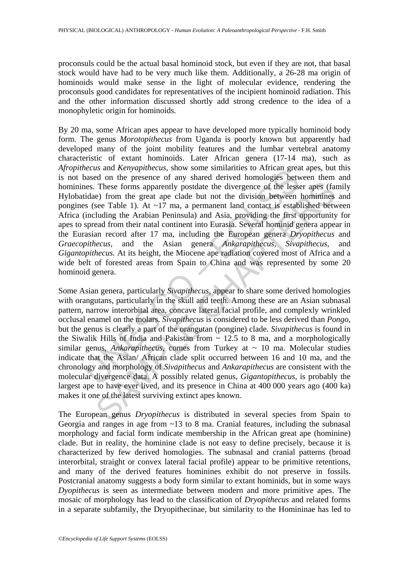proconsuls could be the actual basal hominoid stock, but even if they are not, that basal stock would have had to be very much like them. Additionally, a 26-28 ma origin of hominoids would make sense in the light of molecular evidence, rendering the proconsuls good candidates for representatives of the incipient hominoid radiation. This and the other information discussed shortly add strong credence to the idea of a monophyletic origin for hominoids.

becaus an *deringulatedus*, since similarizes to Arithmar given<br>assed on the presence of any shared derived homologies between<br>ess. These forms apparently postdate the divergence of the less<br>tidae) from the great ape clad By 20 ma, some African apes appear to have developed more typically hominoid body form. The genus *Morotopithecus* from Uganda is poorly known but apparently had developed many of the joint mobility features and the lumbar vertebral anatomy characteristic of extant hominoids. Later African genera (17-14 ma), such as *Afropithecus* and *Kenyapithecus*, show some similarities to African great apes, but this is not based on the presence of any shared derived homologies between them and hominines. These forms apparently postdate the divergence of the lesser apes (family Hylobatidae) from the great ape clade but not the division between hominines and pongines (see Table 1). At  $\sim$ 17 ma, a permanent land contact is established between Africa (including the Arabian Peninsula) and Asia, providing the first opportunity for apes to spread from their natal continent into Eurasia. Several hominid genera appear in the Eurasian record after 17 ma, including the European genera *Dryopithecus* and *Graecopithecus*, and the Asian genera *Ankarapithecus, Sivapithecus,* and *Gigantopithecus.* At its height, the Miocene ape radiation covered most of Africa and a wide belt of forested areas from Spain to China and was represented by some 20 hominoid genera.

These forms apparently postdate the divergence of the lesser apps (face) from the great ape clade but not the division between hominines see Table 1). At  $\sim 17$  ma, a permanent land contact is established between the dud Some Asian genera, particularly *Sivapithecus,* appear to share some derived homologies with orangutans, particularly in the skull and teeth. Among these are an Asian subnasal pattern, narrow interorbital area, concave lateral facial profile, and complexly wrinkled occlusal enamel on the molars. *Sivapithecus* is considered to be less derived than *Pongo,* but the genus is clearly a part of the orangutan (pongine) clade. *Sivapithecus* is found in the Siwalik Hills of India and Pakistan from  $\sim$  12.5 to 8 ma, and a morphologically similar genus, *Ankarapithecus*, comes from Turkey at ~ 10 ma. Molecular studies indicate that the Asian/ African clade split occurred between 16 and 10 ma, and the chronology and morphology of *Sivapithecus* and *Ankarapithecus* are consistent with the molecular divergence data. A possibly related genus, *Gigantopithecus,* is probably the largest ape to have ever lived, and its presence in China at 400 000 years ago (400 ka) makes it one of the latest surviving extinct apes known.

The European genus *Dryopithecus* is distributed in several species from Spain to Georgia and ranges in age from ~13 to 8 ma. Cranial features, including the subnasal morphology and facial form indicate membership in the African great ape (hominine) clade. But in reality, the hominine clade is not easy to define precisely, because it is characterized by few derived homologies. The subnasal and cranial patterns (broad interorbital, straight or convex lateral facial profile) appear to be primitive retentions, and many of the derived features hominines exhibit do not preserve in fossils. Postcranial anatomy suggests a body form similar to extant hominids, but in some ways *Dyopithecus* is seen as intermediate between modern and more primitive apes. The mosaic of morphology has lead to the classification of *Dryopithecus* and related forms in a separate subfamily, the Dryopithecinae, but similarity to the Homininae has led to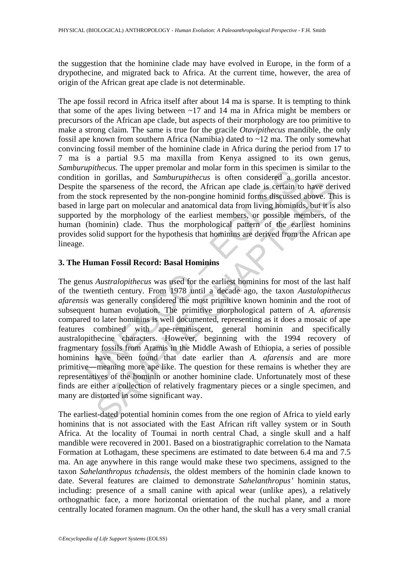the suggestion that the hominine clade may have evolved in Europe, in the form of a drypothecine, and migrated back to Africa. At the current time, however, the area of origin of the African great ape clade is not determinable.

The ape fossil record in Africa itself after about 14 ma is sparse. It is tempting to think that some of the apes living between  $\sim$ 17 and 14 ma in Africa might be members or precursors of the African ape clade, but aspects of their morphology are too primitive to make a strong claim. The same is true for the gracile *Otavipithecus* mandible, the only fossil ape known from southern Africa (Namibia) dated to ~12 ma. The only somewhat convincing fossil member of the hominine clade in Africa during the period from 17 to 7 ma is a partial 9.5 ma maxilla from Kenya assigned to its own genus, *Samburupithecus.* The upper premolar and molar form in this specimen is similar to the condition in gorillas, and *Samburupithecus* is often considered a gorilla ancestor. Despite the sparseness of the record, the African ape clade is certain to have derived from the stock represented by the non-pongine hominid forms discussed above. This is based in large part on molecular and anatomical data from living hominids, but it is also supported by the morphology of the earliest members, or possible members, of the human (hominin) clade. Thus the morphological pattern of the earliest hominins provides solid support for the hypothesis that hominins are derived from the African ape lineage.

# **3. The Human Fossil Record: Basal Hominins**

*upmetas.* The upper pentota and notation and notion in this spectment<br>in in gorillas, and *Samburupithecus* is often considered a gene the sparences of the record, the African ape clade is certain to<br>stock represented by in expansions of the record, the African ape clade is certain to have der<br>expanses of the record, the African ape clade is certain to have der<br>eyes part on molecular and anatomical data from living hominics, but it is<br>type The genus *Australopithecus* was used for the earliest hominins for most of the last half of the twentieth century. From 1978 until a decade ago, the taxon *Austalopithecus afarensis* was generally considered the most primitive known hominin and the root of subsequent human evolution. The primitive morphological pattern of *A. afarensis* compared to later hominins is well documented, representing as it does a mosaic of ape features combined with ape-reminiscent, general hominin and specifically australopithecine characters. However, beginning with the 1994 recovery of fragmentary fossils from Aramis in the Middle Awash of Ethiopia, a series of possible hominins have been found that date earlier than *A. afarensis* and are more primitive―meaning more ape like. The question for these remains is whether they are representatives of the hominin or another hominine clade. Unfortunately most of these finds are either a collection of relatively fragmentary pieces or a single specimen, and many are distorted in some significant way.

The earliest-dated potential hominin comes from the one region of Africa to yield early hominins that is not associated with the East African rift valley system or in South Africa. At the locality of Toumai in north central Chad, a single skull and a half mandible were recovered in 2001. Based on a biostratigraphic correlation to the Namata Formation at Lothagam, these specimens are estimated to date between 6.4 ma and 7.5 ma. An age anywhere in this range would make these two specimens, assigned to the taxon *Sahelanthropus tchadensis,* the oldest members of the hominin clade known to date. Several features are claimed to demonstrate *Sahelanthropus'* hominin status, including: presence of a small canine with apical wear (unlike apes), a relatively orthognathic face, a more horizontal orientation of the nuchal plane, and a more centrally located foramen magnum. On the other hand, the skull has a very small cranial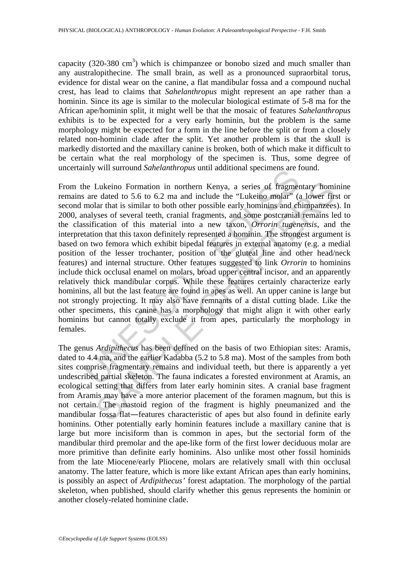capacity (320-380 cm<sup>3</sup>) which is chimpanzee or bonobo sized and much smaller than any australopithecine. The small brain, as well as a pronounced supraorbital torus, evidence for distal wear on the canine, a flat mandibular fossa and a compound nuchal crest, has lead to claims that *Sahelanthropus* might represent an ape rather than a hominin. Since its age is similar to the molecular biological estimate of 5-8 ma for the African ape/hominin split, it might well be that the mosaic of features *Sahelanthropus* exhibits is to be expected for a very early hominin, but the problem is the same morphology might be expected for a form in the line before the split or from a closely related non-hominin clade after the split. Yet another problem is that the skull is markedly distorted and the maxillary canine is broken, both of which make it difficult to be certain what the real morphology of the specimen is. Thus, some degree of uncertainly will surround *Sahelanthropus* until additional specimens are found.

In the Lukeino Formation in northern Kenya, a series of fragmer are dated to 5.6 to 6.2 ma and include the "Lukeino molar" (amolar that is similar to both other possible early hominins and enalyses of several teeth, crania Lukeino Formation in northern Kenya, a series of fragmentary homic<br>dated to 5.6 to 6.2 ma and include the "Lukeino molar" (a lower firs<br>lar that is similar to both other possible early hominins and chimparzees<br>syses of se From the Lukeino Formation in northern Kenya, a series of fragmentary hominine remains are dated to 5.6 to 6.2 ma and include the "Lukeino molar" (a lower first or second molar that is similar to both other possible early hominins and chimpanzees). In 2000, analyses of several teeth, cranial fragments, and some postcranial remains led to the classification of this material into a new taxon, *Orrorin tugenensis*, and the interpretation that this taxon definitely represented a hominin. The strongest argument is based on two femora which exhibit bipedal features in external anatomy (e.g. a medial position of the lesser trochanter, position of the gluteal line and other head/neck features) and internal structure. Other features suggested to link *Orrorin* to hominins include thick occlusal enamel on molars, broad upper central incisor, and an apparently relatively thick mandibular corpus. While these features certainly characterize early hominins, all but the last feature are found in apes as well. An upper canine is large but not strongly projecting. It may also have remnants of a distal cutting blade. Like the other specimens, this canine has a morphology that might align it with other early hominins but cannot totally exclude it from apes, particularly the morphology in females.

The genus *Ardipithecus* has been defined on the basis of two Ethiopian sites: Aramis, dated to 4.4 ma, and the earlier Kadabba (5.2 to 5.8 ma). Most of the samples from both sites comprise fragmentary remains and individual teeth, but there is apparently a yet undescribed partial skeleton. The fauna indicates a forested environment at Aramis, an ecological setting that differs from later early hominin sites. A cranial base fragment from Aramis may have a more anterior placement of the foramen magnum, but this is not certain. The mastoid region of the fragment is highly pneumanized and the mandibular fossa flat―features characteristic of apes but also found in definite early hominins. Other potentially early hominin features include a maxillary canine that is large but more incisiform than is common in apes, but the sectorial form of the mandibular third premolar and the ape-like form of the first lower deciduous molar are more primitive than definite early hominins. Also unlike most other fossil hominids from the late Miocene/early Pliocene, molars are relatively small with thin occlusal anatomy. The latter feature, which is more like extant African apes than early hominins, is possibly an aspect of *Ardipithecus'* forest adaptation. The morphology of the partial skeleton, when published, should clarify whether this genus represents the hominin or another closely-related hominine clade.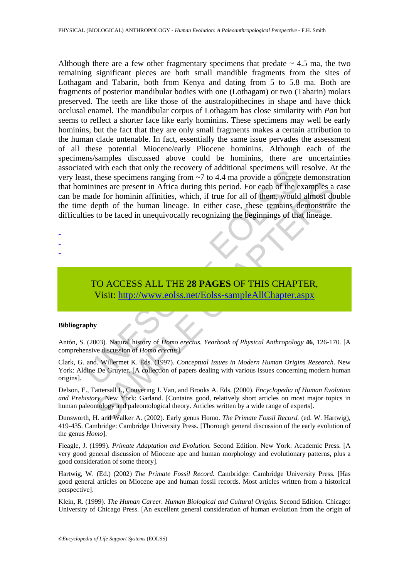Eu will each that during the recovery of admininar sperimers will each<br>tst, these specimens ranging from  $\sim$ 7 to 4.4 ma provide a concrete<br>ininines are present in Africa during this period. For each of the e<br>made for homi ines are present in Africa during this period. For each of the examples a<br>
le for hominin affinities, which, if true for all of them, would almost do<br>
epth of the human lineage. In either case, these remains demonstrate<br>
t Although there are a few other fragmentary specimens that predate  $\sim$  4.5 ma, the two remaining significant pieces are both small mandible fragments from the sites of Lothagam and Tabarin, both from Kenya and dating from 5 to 5.8 ma. Both are fragments of posterior mandibular bodies with one (Lothagam) or two (Tabarin) molars preserved. The teeth are like those of the australopithecines in shape and have thick occlusal enamel. The mandibular corpus of Lothagam has close similarity with *Pan* but seems to reflect a shorter face like early hominins. These specimens may well be early hominins, but the fact that they are only small fragments makes a certain attribution to the human clade untenable. In fact, essentially the same issue pervades the assessment of all these potential Miocene/early Pliocene hominins. Although each of the specimens/samples discussed above could be hominins, there are uncertainties associated with each that only the recovery of additional specimens will resolve. At the very least, these specimens ranging from ~7 to 4.4 ma provide a concrete demonstration that hominines are present in Africa during this period. For each of the examples a case can be made for hominin affinities, which, if true for all of them, would almost double the time depth of the human lineage. In either case, these remains demonstrate the difficulties to be faced in unequivocally recognizing the beginnings of that lineage.

- -
- -
- TO ACCESS ALL THE **28 PAGES** OF THIS CHAPTER, Visit: http://www.eolss.net/Eolss-sampleAllChapter.aspx

#### **Bibliography**

Antón, S. (2003). Natural history of *Homo erectus. Yearbook of Physical Anthropology* **46**, 126-170. [A comprehensive discussion of *Homo erectus*].

Clark, G. and. Willermet K. Eds. (1997). *Conceptual Issues in Modern Human Origins Research.* New York: Aldine De Gruyter. [A collection of papers dealing with various issues concerning modern human origins].

Delson, E., Tattersall I., Couvering J. Van, and Brooks A. Eds. (2000). *Encyclopedia of Human Evolution and Prehistory.* New York: Garland. [Contains good, relatively short articles on most major topics in human paleontology and paleontological theory. Articles written by a wide range of experts].

Dunsworth, H. and Walker A. (2002). Early genus Homo. *The Primate Fossil Record.* (ed. W. Hartwig), 419-435. Cambridge: Cambridge University Press. [Thorough general discussion of the early evolution of the genus *Homo*].

Fleagle, J. (1999). *Primate Adaptation and Evolution.* Second Edition. New York: Academic Press. [A very good general discussion of Miocene ape and human morphology and evolutionary patterns, plus a good consideration of some theory].

Hartwig, W. (Ed.) (2002) *The Primate Fossil Record.* Cambridge: Cambridge University Press. [Has good general articles on Miocene ape and human fossil records. Most articles written from a historical perspective].

Klein, R. (1999). *The Human Career. Human Biological and Cultural Origins.* Second Edition. Chicago: University of Chicago Press. [An excellent general consideration of human evolution from the origin of